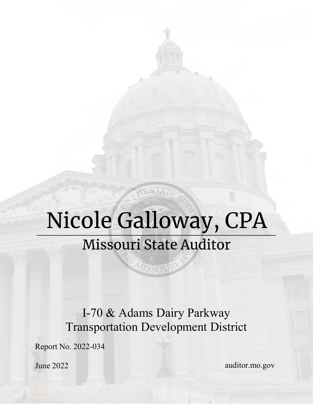# Nicole Galloway, CPA **Missouri State Auditor**

MISSOUR

I-70 & Adams Dairy Parkway Transportation Development District

Report No. 2022-034

June 2022

auditor.mo.gov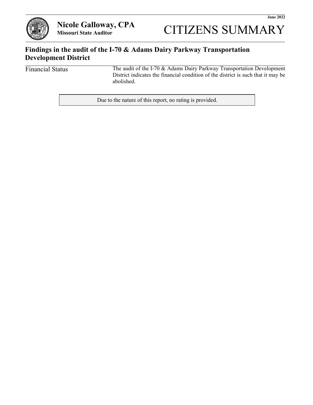

**CITIZENS SUMMARY** 

#### **Findings in the audit of the I-70 & Adams Dairy Parkway Transportation Development District**

Financial Status

The audit of the I-70 & Adams Dairy Parkway Transportation Development District indicates the financial condition of the district is such that it may be abolished.

Due to the nature of this report, no rating is provided.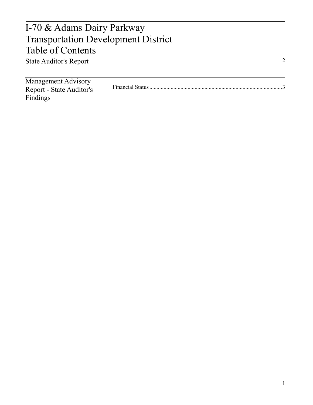### State Auditor's Report I-70 & Adams Dairy Parkway Transportation Development District Table of Contents

| <b>State Auditor's Report</b>                          |  |
|--------------------------------------------------------|--|
| <b>Management Advisory</b><br>Report - State Auditor's |  |
| Findings                                               |  |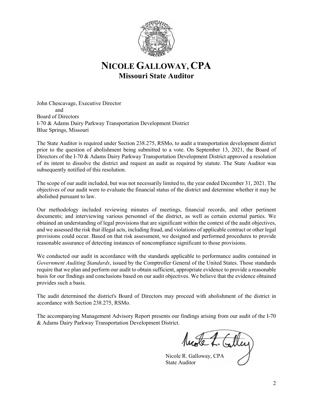

#### **NICOLE GALLOWAY, CPA Missouri State Auditor**

John Chescavage, Executive Director and Board of Directors I-70 & Adams Dairy Parkway Transportation Development District Blue Springs, Missouri

The State Auditor is required under Section 238.275, RSMo, to audit a transportation development district prior to the question of abolishment being submitted to a vote. On September 13, 2021, the Board of Directors of the I-70 & Adams Dairy Parkway Transportation Development District approved a resolution of its intent to dissolve the district and request an audit as required by statute. The State Auditor was subsequently notified of this resolution.

The scope of our audit included, but was not necessarily limited to, the year ended December 31, 2021. The objectives of our audit were to evaluate the financial status of the district and determine whether it may be abolished pursuant to law.

Our methodology included reviewing minutes of meetings, financial records, and other pertinent documents; and interviewing various personnel of the district, as well as certain external parties. We obtained an understanding of legal provisions that are significant within the context of the audit objectives, and we assessed the risk that illegal acts, including fraud, and violations of applicable contract or other legal provisions could occur. Based on that risk assessment, we designed and performed procedures to provide reasonable assurance of detecting instances of noncompliance significant to those provisions.

We conducted our audit in accordance with the standards applicable to performance audits contained in *Government Auditing Standards*, issued by the Comptroller General of the United States. Those standards require that we plan and perform our audit to obtain sufficient, appropriate evidence to provide a reasonable basis for our findings and conclusions based on our audit objectives. We believe that the evidence obtained provides such a basis.

The audit determined the district's Board of Directors may proceed with abolishment of the district in accordance with Section 238.275, RSMo.

The accompanying Management Advisory Report presents our findings arising from our audit of the I-70 & Adams Dairy Parkway Transportation Development District.

Nicole R. Galloway, CPA State Auditor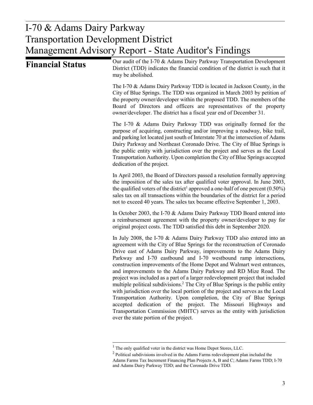## I-70 & Adams Dairy Parkway I-70 & Adams Dairy Parkway Transportation Development District Transportation Development District Management Advisory Report - State Auditor's Findings Management Advisory Report - State Auditor's Findings

| Our audit of the I-70 & Adams Dairy Parkway Transportation Development<br>District (TDD) indicates the financial condition of the district is such that it<br>may be abolished.                                                                                                                                                                                                                                                                                                                                                                                                                                                                                                                                                                                                                                                                                                                                                                                                 |
|---------------------------------------------------------------------------------------------------------------------------------------------------------------------------------------------------------------------------------------------------------------------------------------------------------------------------------------------------------------------------------------------------------------------------------------------------------------------------------------------------------------------------------------------------------------------------------------------------------------------------------------------------------------------------------------------------------------------------------------------------------------------------------------------------------------------------------------------------------------------------------------------------------------------------------------------------------------------------------|
| The I-70 & Adams Dairy Parkway TDD is located in Jackson County, in the<br>City of Blue Springs. The TDD was organized in March 2003 by petition of<br>the property owner/developer within the proposed TDD. The members of the<br>Board of Directors and officers are representatives of the property<br>owner/developer. The district has a fiscal year end of December 31.                                                                                                                                                                                                                                                                                                                                                                                                                                                                                                                                                                                                   |
| The I-70 & Adams Dairy Parkway TDD was originally formed for the<br>purpose of acquiring, constructing and/or improving a roadway, bike trail,<br>and parking lot located just south of Interstate 70 at the intersection of Adams<br>Dairy Parkway and Northeast Coronado Drive. The City of Blue Springs is<br>the public entity with jurisdiction over the project and serves as the Local<br>Transportation Authority. Upon completion the City of Blue Springs accepted<br>dedication of the project.                                                                                                                                                                                                                                                                                                                                                                                                                                                                      |
| In April 2003, the Board of Directors passed a resolution formally approving<br>the imposition of the sales tax after qualified voter approval. In June 2003,<br>the qualified voters of the district <sup>1</sup> approved a one-half of one percent $(0.50\%)$<br>sales tax on all transactions within the boundaries of the district for a period<br>not to exceed 40 years. The sales tax became effective September 1, 2003.                                                                                                                                                                                                                                                                                                                                                                                                                                                                                                                                               |
| In October 2003, the I-70 & Adams Dairy Parkway TDD Board entered into<br>a reimbursement agreement with the property owner/developer to pay for<br>original project costs. The TDD satisfied this debt in September 2020.                                                                                                                                                                                                                                                                                                                                                                                                                                                                                                                                                                                                                                                                                                                                                      |
| In July 2008, the I-70 & Adams Dairy Parkway TDD also entered into an<br>agreement with the City of Blue Springs for the reconstruction of Coronado<br>Drive east of Adams Dairy Parkway, improvements to the Adams Dairy<br>Parkway and I-70 eastbound and I-70 westbound ramp intersections,<br>construction improvements of the Home Depot and Walmart west entrances,<br>and improvements to the Adams Dairy Parkway and RD Mize Road. The<br>project was included as a part of a larger redevelopment project that included<br>multiple political subdivisions. <sup>2</sup> The City of Blue Springs is the public entity<br>with jurisdiction over the local portion of the project and serves as the Local<br>Transportation Authority. Upon completion, the City of Blue Springs<br>accepted dedication of the project. The Missouri Highways and<br>Transportation Commission (MHTC) serves as the entity with jurisdiction<br>over the state portion of the project. |
|                                                                                                                                                                                                                                                                                                                                                                                                                                                                                                                                                                                                                                                                                                                                                                                                                                                                                                                                                                                 |

<sup>&</sup>lt;sup>1</sup> The only qualified voter in the district was Home Depot Stores, LLC.

 $2$  Political subdivisions involved in the Adams Farms redevelopment plan included the Adams Farms Tax Increment Financing Plan Projects A, B and C; Adams Farms TDD; I-70 and Adams Dairy Parkway TDD; and the Coronado Drive TDD.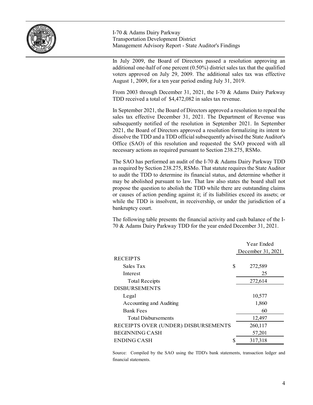

I-70 & Adams Dairy Parkway Transportation Development District Management Advisory Report - State Auditor's Findings

In July 2009, the Board of Directors passed a resolution approving an additional one-half of one percent (0.50%) district sales tax that the qualified voters approved on July 29, 2009. The additional sales tax was effective August 1, 2009, for a ten year period ending July 31, 2019.

From 2003 through December 31, 2021, the I-70 & Adams Dairy Parkway TDD received a total of \$4,472,082 in sales tax revenue.

In September 2021, the Board of Directors approved a resolution to repeal the sales tax effective December 31, 2021. The Department of Revenue was subsequently notified of the resolution in September 2021. In September 2021, the Board of Directors approved a resolution formalizing its intent to dissolve the TDD and a TDD official subsequently advised the State Auditor's Office (SAO) of this resolution and requested the SAO proceed with all necessary actions as required pursuant to Section 238.275, RSMo.

The SAO has performed an audit of the I-70 & Adams Dairy Parkway TDD as required by Section 238.275, RSMo. That statute requires the State Auditor to audit the TDD to determine its financial status, and determine whether it may be abolished pursuant to law. That law also states the board shall not propose the question to abolish the TDD while there are outstanding claims or causes of action pending against it; if its liabilities exceed its assets; or while the TDD is insolvent, in receivership, or under the jurisdiction of a bankruptcy court.

The following table presents the financial activity and cash balance of the I-70 & Adams Dairy Parkway TDD for the year ended December 31, 2021.

|                                     | Year Ended        |
|-------------------------------------|-------------------|
|                                     | December 31, 2021 |
| <b>RECEIPTS</b>                     |                   |
| \$<br>Sales Tax                     | 272,589           |
| Interest                            | 25                |
| <b>Total Receipts</b>               | 272,614           |
| <b>DISBURSEMENTS</b>                |                   |
| Legal                               | 10,577            |
| Accounting and Auditing             | 1,860             |
| <b>Bank Fees</b>                    | 60                |
| <b>Total Disbursements</b>          | 12,497            |
| RECEIPTS OVER (UNDER) DISBURSEMENTS | 260,117           |
| <b>BEGINNING CASH</b>               | 57,201            |
| ENDING CASH<br>S                    | 317,318           |

Source: Compiled by the SAO using the TDD's bank statements, transaction ledger and financial statements.